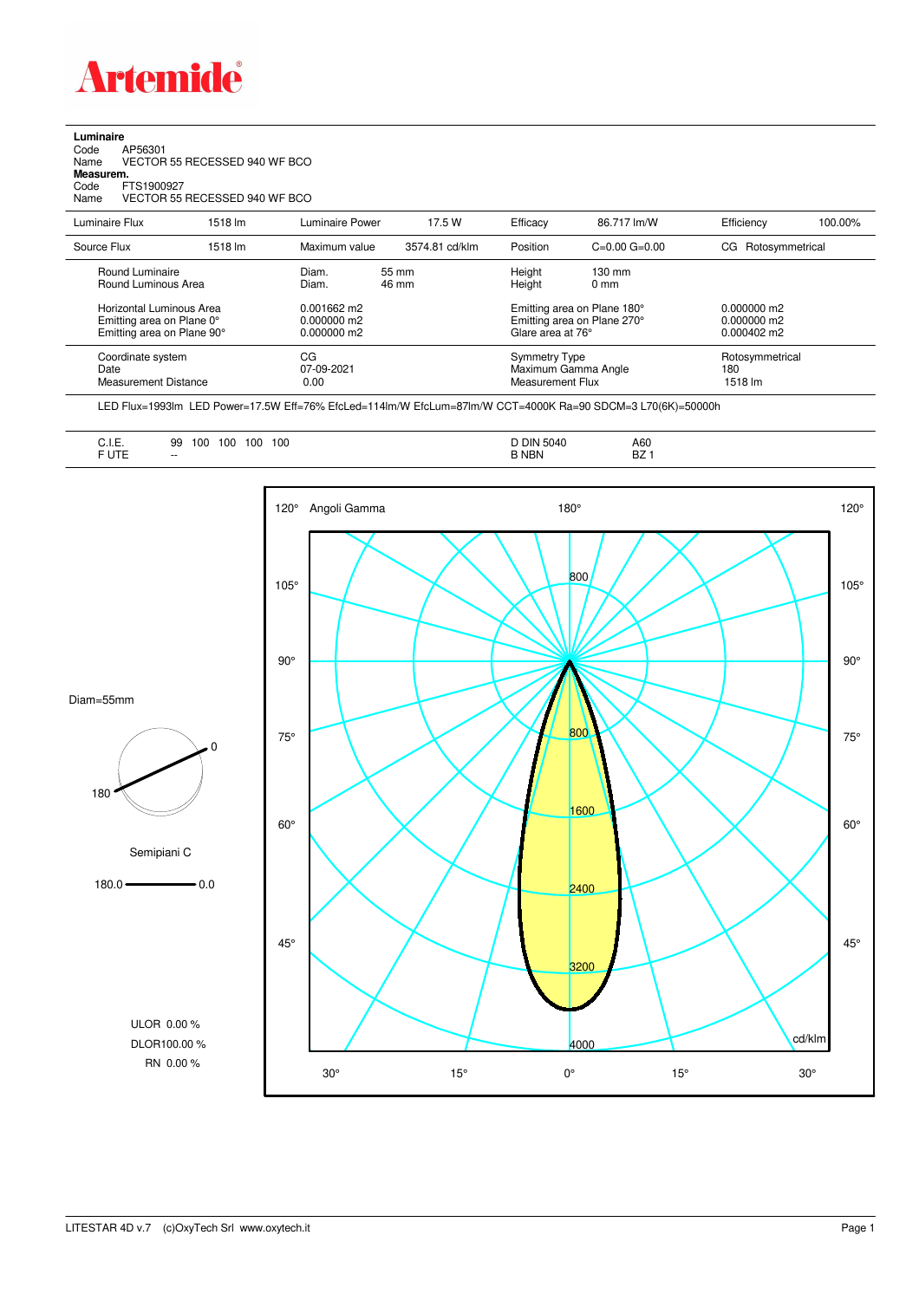

## **Luminaire**

| Name      | VECTOR 55 RECESSED 940 WF BCO |
|-----------|-------------------------------|
| Code      | FTS1900927                    |
| Measurem. |                               |
| Name      | VECTOR 55 RECESSED 940 WF BCO |
| Code      | AP56301                       |

| Luminaire Flux                                                     | 1518 lm | Luminaire Power                 | 17.5 W         | Efficacy                                                        | 86.717 lm/W                                                       | Efficiency                            | 100.00% |
|--------------------------------------------------------------------|---------|---------------------------------|----------------|-----------------------------------------------------------------|-------------------------------------------------------------------|---------------------------------------|---------|
| Source Flux                                                        | 1518 lm | Maximum value                   | 3574.81 cd/klm | Position                                                        | $C=0.00$ $G=0.00$                                                 | Rotosymmetrical<br>CG                 |         |
| Round Luminaire<br>Round Luminous Area<br>Horizontal Luminous Area |         | Diam.<br>Diam.<br>$0.001662$ m2 | 55 mm<br>46 mm | Height<br>Height                                                | $130 \text{ mm}$<br>$0 \text{ mm}$<br>Emitting area on Plane 180° | $0.000000$ m2                         |         |
| Emitting area on Plane 0°<br>Emitting area on Plane 90°            |         | $0.000000$ m2<br>$0.000000$ m2  |                | Glare area at 76°                                               | Emitting area on Plane 270°                                       | $0.000000$ m2<br>$0.000402 \text{ m}$ |         |
| Coordinate system<br>Date<br><b>Measurement Distance</b>           |         | CG<br>07-09-2021<br>0.00        |                | <b>Symmetry Type</b><br>Maximum Gamma Angle<br>Measurement Flux |                                                                   | Rotosymmetrical<br>180<br>1518 lm     |         |

LED Flux=1993lm LED Power=17.5W Eff=76% EfcLed=114lm/W EfcLum=87lm/W CCT=4000K Ra=90 SDCM=3 L70(6K)=50000h